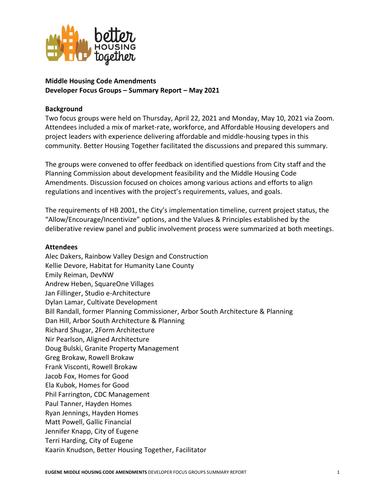

# **Middle Housing Code Amendments Developer Focus Groups – Summary Report – May 2021**

### **Background**

Two focus groups were held on Thursday, April 22, 2021 and Monday, May 10, 2021 via Zoom. Attendees included a mix of market-rate, workforce, and Affordable Housing developers and project leaders with experience delivering affordable and middle-housing types in this community. Better Housing Together facilitated the discussions and prepared this summary.

The groups were convened to offer feedback on identified questions from City staff and the Planning Commission about development feasibility and the Middle Housing Code Amendments. Discussion focused on choices among various actions and efforts to align regulations and incentives with the project's requirements, values, and goals.

The requirements of HB 2001, the City's implementation timeline, current project status, the "Allow/Encourage/Incentivize" options, and the Values & Principles established by the deliberative review panel and public involvement process were summarized at both meetings.

#### **Attendees**

Alec Dakers, Rainbow Valley Design and Construction Kellie Devore, Habitat for Humanity Lane County Emily Reiman, DevNW Andrew Heben, SquareOne Villages Jan Fillinger, Studio e-Architecture Dylan Lamar, Cultivate Development Bill Randall, former Planning Commissioner, Arbor South Architecture & Planning Dan Hill, Arbor South Architecture & Planning Richard Shugar, 2Form Architecture Nir Pearlson, Aligned Architecture Doug Bulski, Granite Property Management Greg Brokaw, Rowell Brokaw Frank Visconti, Rowell Brokaw Jacob Fox, Homes for Good Ela Kubok, Homes for Good Phil Farrington, CDC Management Paul Tanner, Hayden Homes Ryan Jennings, Hayden Homes Matt Powell, Gallic Financial Jennifer Knapp, City of Eugene Terri Harding, City of Eugene Kaarin Knudson, Better Housing Together, Facilitator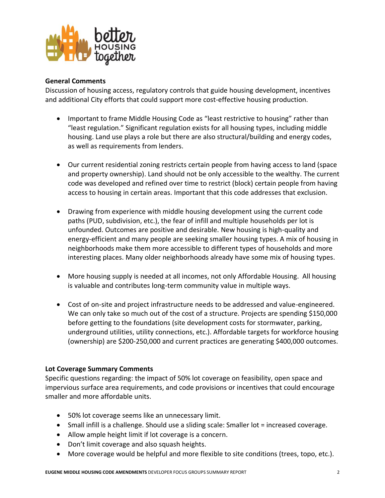

#### **General Comments**

Discussion of housing access, regulatory controls that guide housing development, incentives and additional City efforts that could support more cost-effective housing production.

- Important to frame Middle Housing Code as "least restrictive to housing" rather than "least regulation." Significant regulation exists for all housing types, including middle housing. Land use plays a role but there are also structural/building and energy codes, as well as requirements from lenders.
- Our current residential zoning restricts certain people from having access to land (space and property ownership). Land should not be only accessible to the wealthy. The current code was developed and refined over time to restrict (block) certain people from having access to housing in certain areas. Important that this code addresses that exclusion.
- Drawing from experience with middle housing development using the current code paths (PUD, subdivision, etc.), the fear of infill and multiple households per lot is unfounded. Outcomes are positive and desirable. New housing is high-quality and energy-efficient and many people are seeking smaller housing types. A mix of housing in neighborhoods make them more accessible to different types of households and more interesting places. Many older neighborhoods already have some mix of housing types.
- More housing supply is needed at all incomes, not only Affordable Housing. All housing is valuable and contributes long-term community value in multiple ways.
- Cost of on-site and project infrastructure needs to be addressed and value-engineered. We can only take so much out of the cost of a structure. Projects are spending \$150,000 before getting to the foundations (site development costs for stormwater, parking, underground utilities, utility connections, etc.). Affordable targets for workforce housing (ownership) are \$200-250,000 and current practices are generating \$400,000 outcomes.

### **Lot Coverage Summary Comments**

Specific questions regarding: the impact of 50% lot coverage on feasibility, open space and impervious surface area requirements, and code provisions or incentives that could encourage smaller and more affordable units.

- 50% lot coverage seems like an unnecessary limit.
- Small infill is a challenge. Should use a sliding scale: Smaller lot = increased coverage.
- Allow ample height limit if lot coverage is a concern.
- Don't limit coverage and also squash heights.
- More coverage would be helpful and more flexible to site conditions (trees, topo, etc.).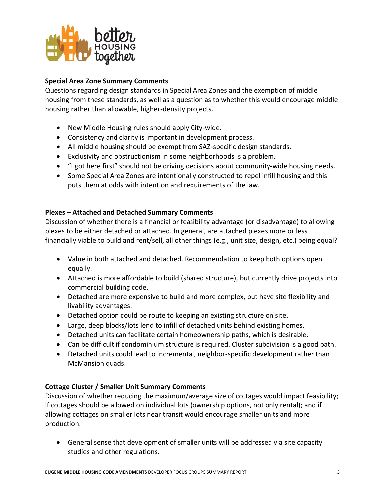

## **Special Area Zone Summary Comments**

Questions regarding design standards in Special Area Zones and the exemption of middle housing from these standards, as well as a question as to whether this would encourage middle housing rather than allowable, higher-density projects.

- New Middle Housing rules should apply City-wide.
- Consistency and clarity is important in development process.
- All middle housing should be exempt from SAZ-specific design standards.
- Exclusivity and obstructionism in some neighborhoods is a problem.
- "I got here first" should not be driving decisions about community-wide housing needs.
- Some Special Area Zones are intentionally constructed to repel infill housing and this puts them at odds with intention and requirements of the law.

# **Plexes – Attached and Detached Summary Comments**

Discussion of whether there is a financial or feasibility advantage (or disadvantage) to allowing plexes to be either detached or attached. In general, are attached plexes more or less financially viable to build and rent/sell, all other things (e.g., unit size, design, etc.) being equal?

- Value in both attached and detached. Recommendation to keep both options open equally.
- Attached is more affordable to build (shared structure), but currently drive projects into commercial building code.
- Detached are more expensive to build and more complex, but have site flexibility and livability advantages.
- Detached option could be route to keeping an existing structure on site.
- Large, deep blocks/lots lend to infill of detached units behind existing homes.
- Detached units can facilitate certain homeownership paths, which is desirable.
- Can be difficult if condominium structure is required. Cluster subdivision is a good path.
- Detached units could lead to incremental, neighbor-specific development rather than McMansion quads.

# **Cottage Cluster / Smaller Unit Summary Comments**

Discussion of whether reducing the maximum/average size of cottages would impact feasibility; if cottages should be allowed on individual lots (ownership options, not only rental); and if allowing cottages on smaller lots near transit would encourage smaller units and more production.

• General sense that development of smaller units will be addressed via site capacity studies and other regulations.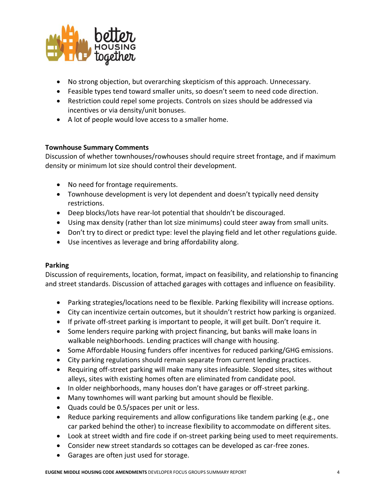

- No strong objection, but overarching skepticism of this approach. Unnecessary.
- Feasible types tend toward smaller units, so doesn't seem to need code direction.
- Restriction could repel some projects. Controls on sizes should be addressed via incentives or via density/unit bonuses.
- A lot of people would love access to a smaller home.

## **Townhouse Summary Comments**

Discussion of whether townhouses/rowhouses should require street frontage, and if maximum density or minimum lot size should control their development.

- No need for frontage requirements.
- Townhouse development is very lot dependent and doesn't typically need density restrictions.
- Deep blocks/lots have rear-lot potential that shouldn't be discouraged.
- Using max density (rather than lot size minimums) could steer away from small units.
- Don't try to direct or predict type: level the playing field and let other regulations guide.
- Use incentives as leverage and bring affordability along.

### **Parking**

Discussion of requirements, location, format, impact on feasibility, and relationship to financing and street standards. Discussion of attached garages with cottages and influence on feasibility.

- Parking strategies/locations need to be flexible. Parking flexibility will increase options.
- City can incentivize certain outcomes, but it shouldn't restrict how parking is organized.
- If private off-street parking is important to people, it will get built. Don't require it.
- Some lenders require parking with project financing, but banks will make loans in walkable neighborhoods. Lending practices will change with housing.
- Some Affordable Housing funders offer incentives for reduced parking/GHG emissions.
- City parking regulations should remain separate from current lending practices.
- Requiring off-street parking will make many sites infeasible. Sloped sites, sites without alleys, sites with existing homes often are eliminated from candidate pool.
- In older neighborhoods, many houses don't have garages or off-street parking.
- Many townhomes will want parking but amount should be flexible.
- Quads could be 0.5/spaces per unit or less.
- Reduce parking requirements and allow configurations like tandem parking (e.g., one car parked behind the other) to increase flexibility to accommodate on different sites.
- Look at street width and fire code if on-street parking being used to meet requirements.
- Consider new street standards so cottages can be developed as car-free zones.
- Garages are often just used for storage.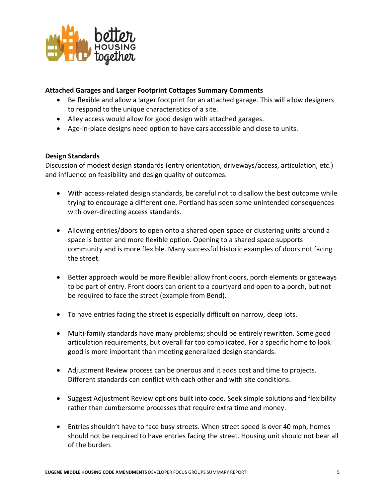

## **Attached Garages and Larger Footprint Cottages Summary Comments**

- Be flexible and allow a larger footprint for an attached garage. This will allow designers to respond to the unique characteristics of a site.
- Alley access would allow for good design with attached garages.
- Age-in-place designs need option to have cars accessible and close to units.

### **Design Standards**

Discussion of modest design standards (entry orientation, driveways/access, articulation, etc.) and influence on feasibility and design quality of outcomes.

- With access-related design standards, be careful not to disallow the best outcome while trying to encourage a different one. Portland has seen some unintended consequences with over-directing access standards.
- Allowing entries/doors to open onto a shared open space or clustering units around a space is better and more flexible option. Opening to a shared space supports community and is more flexible. Many successful historic examples of doors not facing the street.
- Better approach would be more flexible: allow front doors, porch elements or gateways to be part of entry. Front doors can orient to a courtyard and open to a porch, but not be required to face the street (example from Bend).
- To have entries facing the street is especially difficult on narrow, deep lots.
- Multi-family standards have many problems; should be entirely rewritten. Some good articulation requirements, but overall far too complicated. For a specific home to look good is more important than meeting generalized design standards.
- Adjustment Review process can be onerous and it adds cost and time to projects. Different standards can conflict with each other and with site conditions.
- Suggest Adjustment Review options built into code. Seek simple solutions and flexibility rather than cumbersome processes that require extra time and money.
- Entries shouldn't have to face busy streets. When street speed is over 40 mph, homes should not be required to have entries facing the street. Housing unit should not bear all of the burden.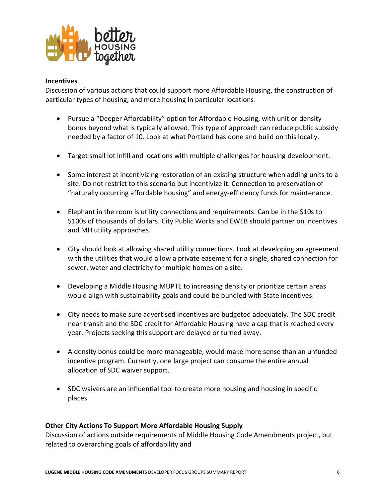

#### **Incentives**

Discussion of various actions that could support more Affordable Housing, the construction of particular types of housing, and more housing in particular locations.

- Pursue a "Deeper Affordability" option for Affordable Housing, with unit or density bonus beyond what is typically allowed. This type of approach can reduce public subsidy needed by a factor of 10. Look at what Portland has done and build on this locally.
- Target small lot infill and locations with multiple challenges for housing development.
- Some interest at incentivizing restoration of an existing structure when adding units to a site. Do not restrict to this scenario but incentivize it. Connection to preservation of "naturally occurring affordable housing" and energy-efficiency funds for maintenance.
- Elephant in the room is utility connections and requirements. Can be in the \$10s to \$100s of thousands of dollars. City Public Works and EWEB should partner on incentives and MH utility approaches.
- City should look at allowing shared utility connections. Look at developing an agreement with the utilities that would allow a private easement for a single, shared connection for sewer, water and electricity for multiple homes on a site.
- Developing a Middle Housing MUPTE to increasing density or prioritize certain areas would align with sustainability goals and could be bundled with State incentives.
- City needs to make sure advertised incentives are budgeted adequately. The SDC credit near transit and the SDC credit for Affordable Housing have a cap that is reached every year. Projects seeking this support are delayed or turned away.
- A density bonus could be more manageable, would make more sense than an unfunded incentive program. Currently, one large project can consume the entire annual allocation of SDC waiver support.
- SDC waivers are an influential tool to create more housing and housing in specific places.

### **Other City Actions To Support More Affordable Housing Supply**

Discussion of actions outside requirements of Middle Housing Code Amendments project, but related to overarching goals of affordability and